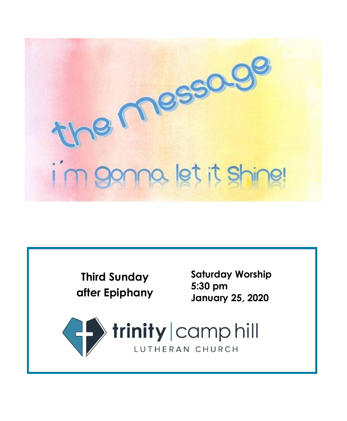

**Third Sunday after Epiphany** **Saturday Worship 5:30 pm January 25, 2020**

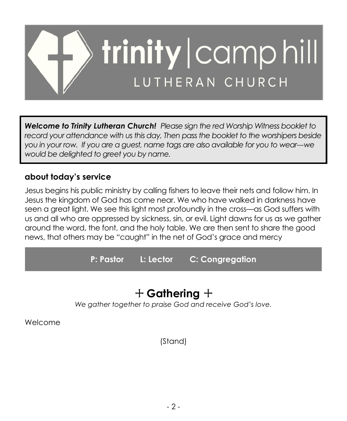

*Welcome to Trinity Lutheran Church! Please sign the red Worship Witness booklet to record your attendance with us this day, Then pass the booklet to the worshipers beside you in your row. If you are a guest, name tags are also available for you to wear---we would be delighted to greet you by name.*

### **about today's service**

Jesus begins his public ministry by calling fishers to leave their nets and follow him. In Jesus the kingdom of God has come near. We who have walked in darkness have seen a great light. We see this light most profoundly in the cross—as God suffers with us and all who are oppressed by sickness, sin, or evil. Light dawns for us as we gather around the word, the font, and the holy table. We are then sent to share the good news, that others may be "caught" in the net of God's grace and mercy

**P: Pastor L: Lector C: Congregation**

## + **Gathering** +

*We gather together to praise God and receive God's love.*

Welcome

(Stand)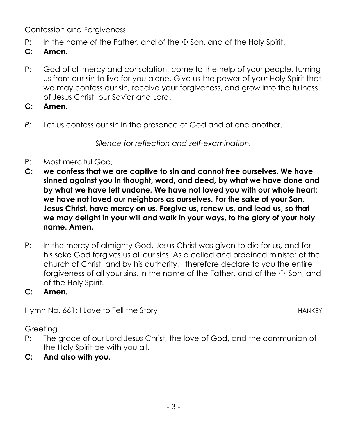Confession and Forgiveness

- P: In the name of the Father, and of the  $\pm$  Son, and of the Holy Spirit.
- **C: Amen.**
- P: God of all mercy and consolation, come to the help of your people, turning us from our sin to live for you alone. Give us the power of your Holy Spirit that we may confess our sin, receive your forgiveness, and grow into the fullness of Jesus Christ, our Savior and Lord.
- **C: Amen.**
- *P:* Let us confess our sin in the presence of God and of one another.

*Silence for reflection and self-examination.*

- P: Most merciful God,
- **C: we confess that we are captive to sin and cannot free ourselves. We have sinned against you in thought, word, and deed, by what we have done and by what we have left undone. We have not loved you with our whole heart; we have not loved our neighbors as ourselves. For the sake of your Son, Jesus Christ, have mercy on us. Forgive us, renew us, and lead us, so that we may delight in your will and walk in your ways, to the glory of your holy name. Amen.**
- P: In the mercy of almighty God, Jesus Christ was given to die for us, and for his sake God forgives us all our sins. As a called and ordained minister of the church of Christ, and by his authority, I therefore declare to you the entire forgiveness of all your sins, in the name of the Father, and of the  $+$  Son, and of the Holy Spirit.
- **C: Amen.**

Hymn No. 661: I Love to Tell the Story **HANKEY HANKEY** 

Greeting

- P: The grace of our Lord Jesus Christ, the love of God, and the communion of the Holy Spirit be with you all.
- **C: And also with you.**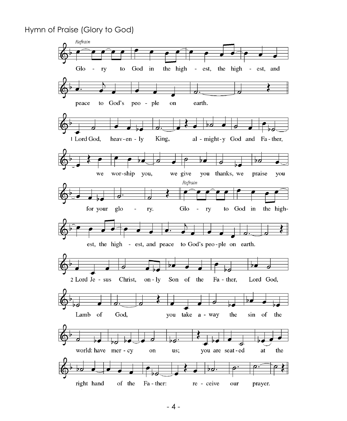Hymn of Praise (Glory to God)

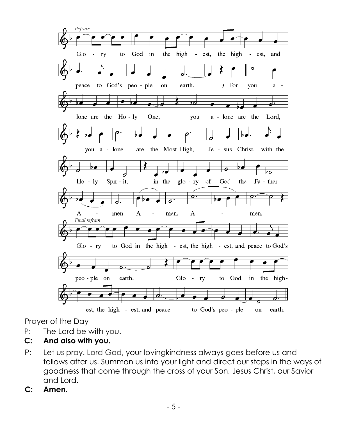

Prayer of the Day

- P: The Lord be with you.
- **C: And also with you.**
- P: Let us pray. Lord God, your lovingkindness always goes before us and follows after us. Summon us into your light and direct our steps in the ways of goodness that come through the cross of your Son, Jesus Christ, our Savior and Lord.
- **C: Amen.**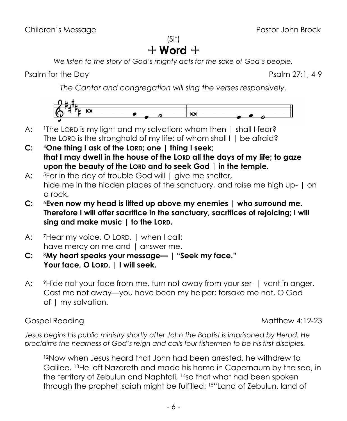(Sit)

# $+$  Word  $+$

*We listen to the story of God's mighty acts for the sake of God's people.*

Psalm for the Day Psalm 27:1, 4-9

*The Cantor and congregation will sing the verses responsively.*



- A: I The LORD is my light and my salvation; whom then | shall I fear? The LORD is the stronghold of my life; of whom shall I | be afraid?
- **C:** <sup>4</sup>**One thing I ask of the LORD; one | thing I seek; that I may dwell in the house of the LORD all the days of my life; to gaze upon the beauty of the LORD and to seek God | in the temple.**
- A: <sup>5</sup>For in the day of trouble God will | give me shelter, hide me in the hidden places of the sanctuary, and raise me high up- | on a rock.
- **C:** <sup>6</sup>**Even now my head is lifted up above my enemies | who surround me. Therefore I will offer sacrifice in the sanctuary, sacrifices of rejoicing; I will sing and make music | to the LORD.**
- A: 7Hear my voice, O LORD, I when I call; have mercy on me and | answer me.
- **C:** <sup>8</sup>**My heart speaks your message— | "Seek my face." Your face, O LORD, | I will seek.**
- A: <sup>9</sup>Hide not your face from me, turn not away from your ser- | vant in anger. Cast me not away—you have been my helper; forsake me not, O God of | my salvation.

Gospel Reading Matthew 4:12-23

*Jesus begins his public ministry shortly after John the Baptist is imprisoned by Herod. He proclaims the nearness of God's reign and calls four fishermen to be his first disciples.*

<sup>12</sup>Now when Jesus heard that John had been arrested, he withdrew to Galilee. <sup>13</sup>He left Nazareth and made his home in Capernaum by the sea, in the territory of Zebulun and Naphtali, <sup>14</sup>so that what had been spoken through the prophet Isaiah might be fulfilled: <sup>15</sup>"Land of Zebulun, land of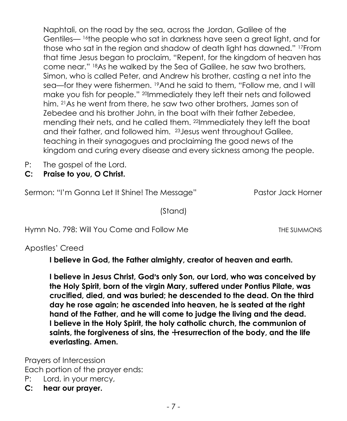Naphtali, on the road by the sea, across the Jordan, Galilee of the Gentiles— <sup>16</sup>the people who sat in darkness have seen a great light, and for those who sat in the region and shadow of death light has dawned." <sup>17</sup>From that time Jesus began to proclaim, "Repent, for the kingdom of heaven has come near." <sup>18</sup>As he walked by the Sea of Galilee, he saw two brothers, Simon, who is called Peter, and Andrew his brother, casting a net into the sea—for they were fishermen. <sup>19</sup>And he said to them, "Follow me, and I will make you fish for people." <sup>20</sup>Immediately they left their nets and followed him. <sup>21</sup>As he went from there, he saw two other brothers, James son of Zebedee and his brother John, in the boat with their father Zebedee, mending their nets, and he called them. <sup>22</sup>Immediately they left the boat and their father, and followed him. <sup>23</sup>Jesus went throughout Galilee, teaching in their synagogues and proclaiming the good news of the kingdom and curing every disease and every sickness among the people.

- P: The gospel of the Lord.
- **C: Praise to you, O Christ.**

Sermon: "I'm Gonna Let It Shine! The Message" Pastor Jack Horner

(Stand)

Hymn No. 798: Will You Come and Follow Me The Summons The Summons

Apostles' Creed

**I believe in God, the Father almighty, creator of heaven and earth.**

**I believe in Jesus Christ, God's only Son, our Lord, who was conceived by the Holy Spirit, born of the virgin Mary, suffered under Pontius Pilate, was crucified, died, and was buried; he descended to the dead. On the third day he rose again; he ascended into heaven, he is seated at the right hand of the Father, and he will come to judge the living and the dead. I believe in the Holy Spirit, the holy catholic church, the communion of**  saints, the forgiveness of sins, the +resurrection of the body, and the life **everlasting. Amen.**

Prayers of Intercession Each portion of the prayer ends:

- P: Lord, in your mercy,
- **C: hear our prayer.**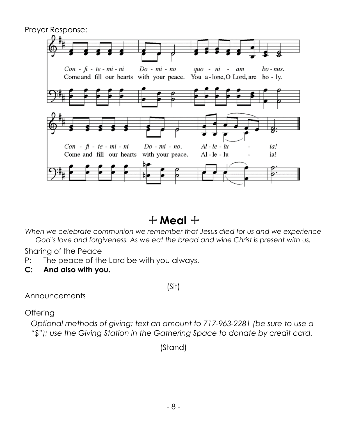

## $+$  Meal  $+$

*When we celebrate communion we remember that Jesus died for us and we experience God's love and forgiveness. As we eat the bread and wine Christ is present with us.*

Sharing of the Peace

- P: The peace of the Lord be with you always.
- **C: And also with you.**

(Sit)

Announcements

**Offering** 

*Optional methods of giving: text an amount to 717-963-2281 (be sure to use a "\$"); use the Giving Station in the Gathering Space to donate by credit card.*

(Stand)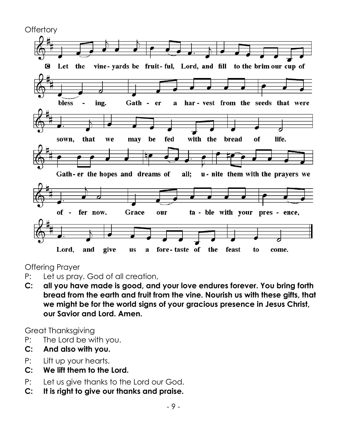

Offering Prayer

- P: Let us pray. God of all creation,
- **C: all you have made is good, and your love endures forever. You bring forth bread from the earth and fruit from the vine. Nourish us with these gifts, that we might be for the world signs of your gracious presence in Jesus Christ, our Savior and Lord. Amen.**

Great Thanksgiving

- P: The Lord be with you.
- **C: And also with you.**
- P: Lift up your hearts.
- **C: We lift them to the Lord.**
- P: Let us give thanks to the Lord our God.
- **C: It is right to give our thanks and praise.**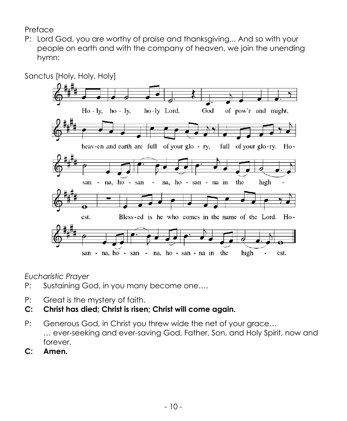Preface

P: Lord God, you are worthy of praise and thanksgiving... And so with your people on earth and with the company of heaven, we join the unending hymn:



*Eucharistic Prayer*

- P: Sustaining God, in you many become one….
- P: Great is the mystery of faith.
- **C: Christ has died; Christ is risen; Christ will come again.**
- P: Generous God, in Christ you threw wide the net of your grace… … ever-seeking and ever-saving God, Father, Son, and Holy Spirit, now and forever.
- **C: Amen.**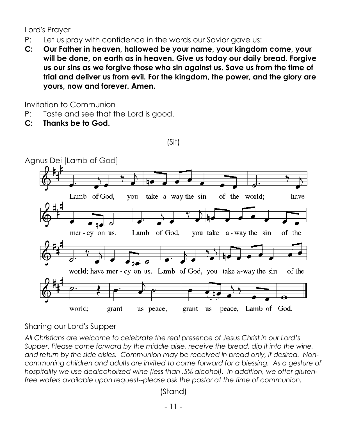Lord's Prayer

- P: Let us pray with confidence in the words our Savior gave us:
- **C: Our Father in heaven, hallowed be your name, your kingdom come, your will be done, on earth as in heaven. Give us today our daily bread. Forgive us our sins as we forgive those who sin against us. Save us from the time of trial and deliver us from evil. For the kingdom, the power, and the glory are yours, now and forever. Amen.**

(Sit)

Invitation to Communion

- P: Taste and see that the Lord is good.
- **C: Thanks be to God.**



Agnus Dei [Lamb of God]

Sharing our Lord's Supper

*All Christians are welcome to celebrate the real presence of Jesus Christ in our Lord's Supper. Please come forward by the middle aisle, receive the bread, dip it into the wine, and return by the side aisles. Communion may be received in bread only, if desired. Noncommuning children and adults are invited to come forward for a blessing. As a gesture of hospitality we use dealcoholized wine (less than .5% alcohol). In addition, we offer glutenfree wafers available upon request--please ask the pastor at the time of communion.*

(Stand)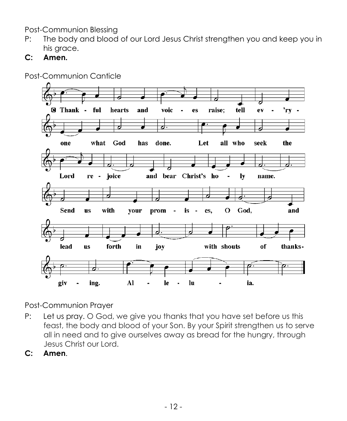Post-Communion Blessing

- P: The body and blood of our Lord Jesus Christ strengthen you and keep you in his grace.
- **C: Amen.**



Post-Communion Canticle

Post-Communion Prayer

- P: Let us pray. O God, we give you thanks that you have set before us this feast, the body and blood of your Son. By your Spirit strengthen us to serve all in need and to give ourselves away as bread for the hungry, through Jesus Christ our Lord.
- **C: Amen**.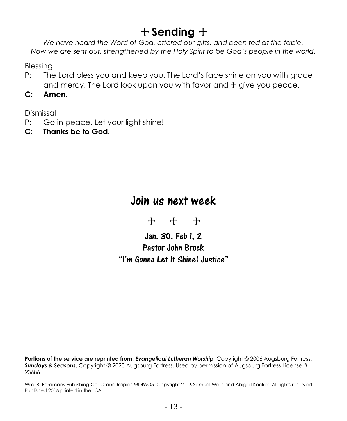## + **Sending** +

*We have heard the Word of God, offered our gifts, and been fed at the table. Now we are sent out, strengthened by the Holy Spirit to be God's people in the world.*

Blessing

- P: The Lord bless you and keep you. The Lord's face shine on you with grace and mercy. The Lord look upon you with favor and  $+$  give you peace.
- **C: Amen.**

Dismissal

- P: Go in peace. Let your light shine!
- **C: Thanks be to God.**

## Join us next week

+ + +

Jan. 30, Feb 1, 2 Pastor John Brock "I'm Gonna Let It Shine! Justice"

**Portions of the service are reprinted from:** *Evangelical Lutheran Worship*, Copyright © 2006 Augsburg Fortress. *Sundays & Seasons*, Copyright © 2020 Augsburg Fortress. Used by permission of Augsburg Fortress License # 23686.

Wm. B. Eerdmans Publishing Co. Grand Rapids MI 49505. Copyright 2016 Samuel Wells and Abigail Kocker. All rights reserved. Published 2016 printed in the USA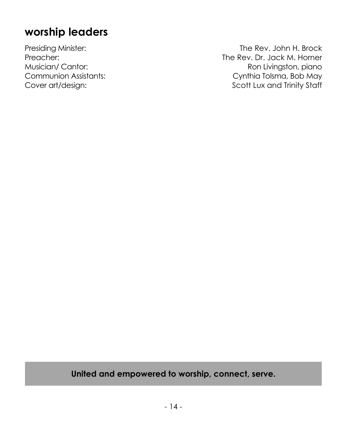## **worship leaders**

Presiding Minister: The Rev. John H. Brock Preacher: The Rev. Dr. Jack M. Horner<br>Musician/ Cantor: The Rev. Dr. Jack M. Horner<br>Ron Livingston, piano Musician/ Cantor: Musician/ Cantor: Ron Livingston, piano<br>Communion Assistants: Roman Communion Assistants: Cynthia Tolsma, Bob May Cover art/design: Cover art/design: Scott Lux and Trinity Staff

### **United and empowered to worship, connect, serve.**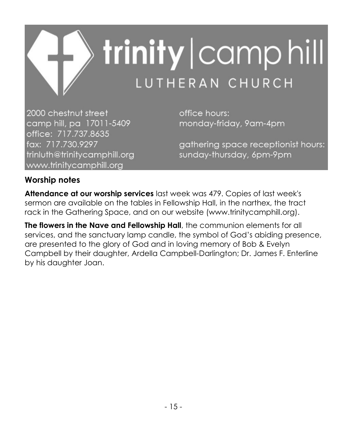

2000 chestnut street camp hill, pa 17011-5409 office: 717.737.8635 fax: 717.730.9297 trinluth@trinitycamphill.org www.trinitycamphill.org

office hours: monday-friday, 9am-4pm

gathering space receptionist hours: sunday-thursday, 6pm-9pm

### **Worship notes**

**Attendance at our worship services** last week was 479. Copies of last week's sermon are available on the tables in Fellowship Hall, in the narthex, the tract rack in the Gathering Space, and on our website (www.trinitycamphill.org).

**The flowers in the Nave and Fellowship Hall**, the communion elements for all services, and the sanctuary lamp candle, the symbol of God's abiding presence, are presented to the glory of God and in loving memory of Bob & Evelyn Campbell by their daughter, Ardella Campbell-Darlington; Dr. James F. Enterline by his daughter Joan.